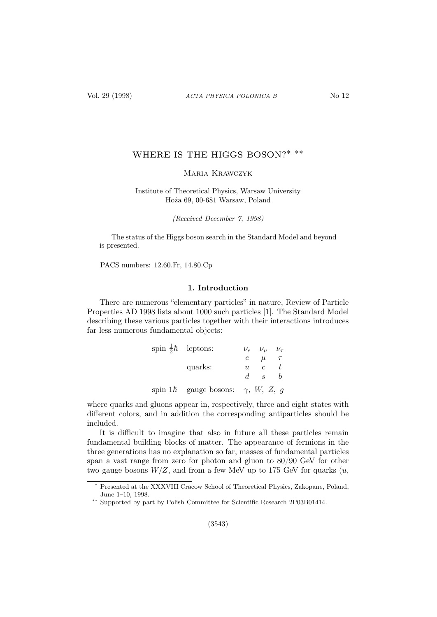# WHERE IS THE HIGGS BOSON?\* \*\*

## Maria Krawczyk

## Institute of Theoretical Physics, Warsaw University Hoża 69, 00-681 Warsaw, Poland

(Received December 7, 1998)

The status of the Higgs boson search in the Standard Model and beyond is presented.

PACS numbers: 12.60.Fr, 14.80.Cp

## 1. Introduction

There are numerous "elementary particles" in nature, Review of Particle Properties AD 1998 lists about 1000 such particles [1]. The Standard Model describing these various particles together with their interactions introduces far less numerous fundamental objects:

| spin $\frac{1}{2}\hbar$ leptons:         |   | $\nu_e$ $\nu_\mu$ $\nu_\tau$ |  |
|------------------------------------------|---|------------------------------|--|
|                                          |   | $e \mu \tau$                 |  |
| quarks:                                  | u | $c-t$                        |  |
|                                          |   | $d \, s \, b$                |  |
| spin 1h gauge bosons: $\gamma$ , W, Z, g |   |                              |  |

where quarks and gluons appear in, respectively, three and eight states with different colors, and in addition the corresponding antiparticles should be included.

It is difficult to imagine that also in future all these particles remain fundamental building blocks of matter. The appearance of fermions in the three generations has no explanation so far, masses of fundamental particles span a vast range from zero for photon and gluon to 80/90 GeV for other two gauge bosons  $W/Z$ , and from a few MeV up to 175 GeV for quarks  $(u,$ 

<sup>∗</sup> Presented at the XXXVIII Cracow School of Theoretical Physics, Zakopane, Poland, June 1–10, 1998.

<sup>∗∗</sup> Supported by part by Polish Committee for Scientific Research 2P03B01414.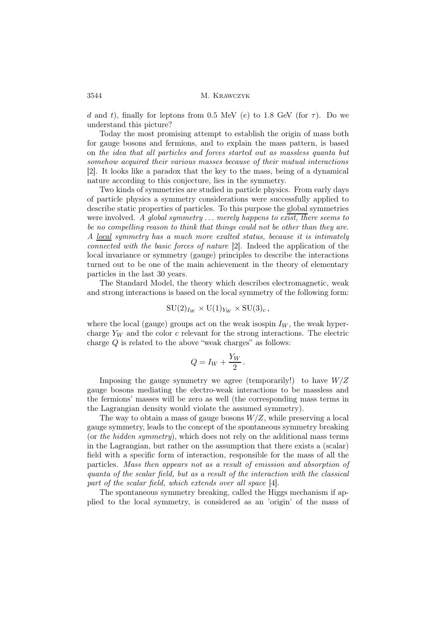d and t), finally for leptons from 0.5 MeV (e) to 1.8 GeV (for  $\tau$ ). Do we understand this picture?

Today the most promising attempt to establish the origin of mass both for gauge bosons and fermions, and to explain the mass pattern, is based on the idea that all particles and forces started out as massless quanta but somehow acquired their various masses because of their mutual interactions [2]. It looks like a paradox that the key to the mass, being of a dynamical nature according to this conjecture, lies in the symmetry.

Two kinds of symmetries are studied in particle physics. From early days of particle physics a symmetry considerations were successfully applied to describe static properties of particles. To this purpose the global symmetries were involved. A global symmetry  $\dots$  merely happens to exist, there seems to be no compelling reason to think that things could not be other than they are. A local symmetry has a much more exalted status, because it is intimately connected with the basic forces of nature [2]. Indeed the application of the local invariance or symmetry (gauge) principles to describe the interactions turned out to be one of the main achievement in the theory of elementary particles in the last 30 years.

The Standard Model, the theory which describes electromagnetic, weak and strong interactions is based on the local symmetry of the following form:

$$
SU(2)_{I_W} \times U(1)_{Y_W} \times SU(3)_c
$$

where the local (gauge) groups act on the weak isospin  $I_W$ , the weak hypercharge  $Y_W$  and the color c relevant for the strong interactions. The electric charge Q is related to the above "weak charges" as follows:

$$
Q = I_W + \frac{Y_W}{2}.
$$

Imposing the gauge symmetry we agree (temporarily!) to have  $W/Z$ gauge bosons mediating the electro-weak interactions to be massless and the fermions' masses will be zero as well (the corresponding mass terms in the Lagrangian density would violate the assumed symmetry).

The way to obtain a mass of gauge bosons  $W/Z$ , while preserving a local gauge symmetry, leads to the concept of the spontaneous symmetry breaking (or the hidden symmetry), which does not rely on the additional mass terms in the Lagrangian, but rather on the assumption that there exists a (scalar) field with a specific form of interaction, responsible for the mass of all the particles. Mass then appears not as a result of emission and absorption of quanta of the scalar field, but as a result of the interaction with the classical part of the scalar field, which extends over all space [4].

The spontaneous symmetry breaking, called the Higgs mechanism if applied to the local symmetry, is considered as an 'origin' of the mass of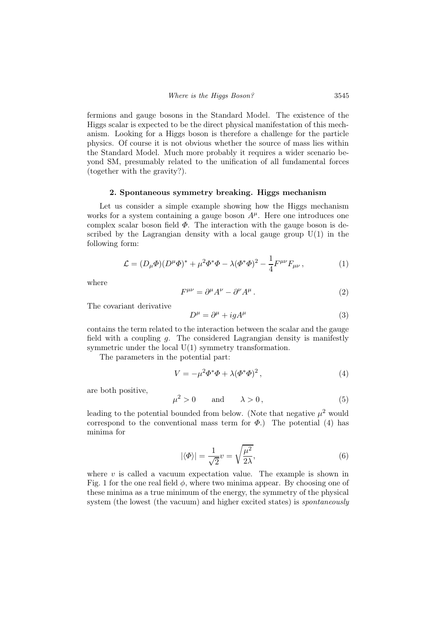fermions and gauge bosons in the Standard Model. The existence of the Higgs scalar is expected to be the direct physical manifestation of this mechanism. Looking for a Higgs boson is therefore a challenge for the particle physics. Of course it is not obvious whether the source of mass lies within the Standard Model. Much more probably it requires a wider scenario beyond SM, presumably related to the unification of all fundamental forces (together with the gravity?).

#### 2. Spontaneous symmetry breaking. Higgs mechanism

Let us consider a simple example showing how the Higgs mechanism works for a system containing a gauge boson  $A^{\mu}$ . Here one introduces one complex scalar boson field  $\Phi$ . The interaction with the gauge boson is described by the Lagrangian density with a local gauge group  $U(1)$  in the following form:

$$
\mathcal{L} = (D_{\mu}\Phi)(D^{\mu}\Phi)^{*} + \mu^{2}\Phi^{*}\Phi - \lambda(\Phi^{*}\Phi)^{2} - \frac{1}{4}F^{\mu\nu}F_{\mu\nu}, \qquad (1)
$$

where

$$
F^{\mu\nu} = \partial^{\mu}A^{\nu} - \partial^{\nu}A^{\mu}.
$$
 (2)

The covariant derivative

$$
D^{\mu} = \partial^{\mu} + igA^{\mu} \tag{3}
$$

contains the term related to the interaction between the scalar and the gauge field with a coupling  $g$ . The considered Lagrangian density is manifestly symmetric under the local  $U(1)$  symmetry transformation.

The parameters in the potential part:

$$
V = -\mu^2 \Phi^* \Phi + \lambda (\Phi^* \Phi)^2, \qquad (4)
$$

are both positive,

$$
\mu^2 > 0 \qquad \text{and} \qquad \lambda > 0 \tag{5}
$$

leading to the potential bounded from below. (Note that negative  $\mu^2$  would correspond to the conventional mass term for  $\Phi$ .) The potential (4) has minima for

$$
|\langle \Phi \rangle| = \frac{1}{\sqrt{2}} v = \sqrt{\frac{\mu^2}{2\lambda}},\tag{6}
$$

where  $v$  is called a vacuum expectation value. The example is shown in Fig. 1 for the one real field  $\phi$ , where two minima appear. By choosing one of these minima as a true minimum of the energy, the symmetry of the physical system (the lowest (the vacuum) and higher excited states) is *spontaneously*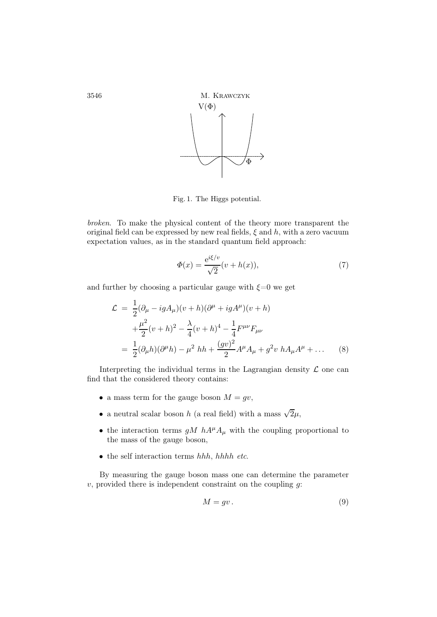

Fig. 1. The Higgs potential.

broken. To make the physical content of the theory more transparent the original field can be expressed by new real fields,  $\xi$  and h, with a zero vacuum expectation values, as in the standard quantum field approach:

$$
\Phi(x) = \frac{e^{i\xi/v}}{\sqrt{2}}(v + h(x)),\tag{7}
$$

and further by choosing a particular gauge with  $\xi=0$  we get

$$
\mathcal{L} = \frac{1}{2} (\partial_{\mu} - igA_{\mu})(v+h)(\partial^{\mu} + igA^{\mu})(v+h) \n+ \frac{\mu^{2}}{2} (v+h)^{2} - \frac{\lambda}{4} (v+h)^{4} - \frac{1}{4} F^{\mu\nu} F_{\mu\nu} \n= \frac{1}{2} (\partial_{\mu}h)(\partial^{\mu}h) - \mu^{2} hh + \frac{(gv)^{2}}{2} A^{\mu} A_{\mu} + g^{2} v h A_{\mu} A^{\mu} + \dots
$$
\n(8)

Interpreting the individual terms in the Lagrangian density  $\mathcal L$  one can find that the considered theory contains:

- a mass term for the gauge boson  $M = gv$ ,
- $\bullet\,$  a neutral scalar boson  $h$  (a real field) with a mass  $\sqrt{2}\mu,$
- the interaction terms  $gM hA^{\mu}A_{\mu}$  with the coupling proportional to the mass of the gauge boson,
- the self interaction terms hhh, hhhh etc.

By measuring the gauge boson mass one can determine the parameter  $v$ , provided there is independent constraint on the coupling  $g$ :

$$
M = gv. \tag{9}
$$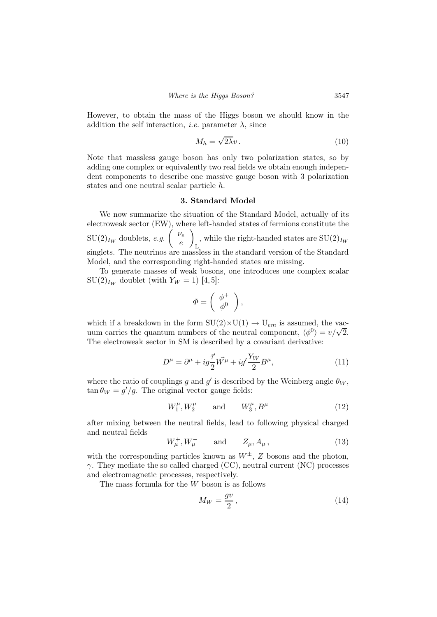However, to obtain the mass of the Higgs boson we should know in the addition the self interaction, *i.e.* parameter  $\lambda$ , since

$$
M_h = \sqrt{2\lambda}v \,. \tag{10}
$$

Note that massless gauge boson has only two polarization states, so by adding one complex or equivalently two real fields we obtain enough independent components to describe one massive gauge boson with 3 polarization states and one neutral scalar particle h.

## 3. Standard Model

We now summarize the situation of the Standard Model, actually of its electroweak sector (EW), where left-handed states of fermions constitute the  $\text{SU}(2)_{I_W}$  doublets, e.g.  $\begin{pmatrix} \nu_e & \nu_{\ell} \\ \nu_{\ell} & \nu_{\ell} \end{pmatrix}$ e  $\setminus$ L , while the right-handed states are  $SU(2)_{I_W}$ singlets. The neutrinos are massless in the standard version of the Standard Model, and the corresponding right-handed states are missing.

To generate masses of weak bosons, one introduces one complex scalar  $\mathrm{SU}(2)_{I_W}$  doublet (with  $Y_W = 1$ ) [4,5]:

$$
\varPhi = \left( \begin{array}{c} \phi^+ \\ \phi^0 \end{array} \right),
$$

which if a breakdown in the form  $SU(2)\times U(1) \rightarrow U_{em}$  is assumed, the vacwhich is discussed in the form  $\phi(\zeta) \to \phi_{\ell m}$  is assumed, the value of the neutral component,  $\langle \phi^0 \rangle = v/\sqrt{2}$ . The electroweak sector in SM is described by a covariant derivative:

$$
D^{\mu} = \partial^{\mu} + ig\frac{\vec{\tau}}{2}\vec{W^{\mu}} + ig'\frac{Y_W}{2}B^{\mu},\tag{11}
$$

where the ratio of couplings g and g' is described by the Weinberg angle  $\theta_W$ ,  $\tan \theta_W = g'/g$ . The original vector gauge fields:

$$
W_1^{\mu}, W_2^{\mu} \qquad \text{and} \qquad W_3^{\mu}, B^{\mu} \tag{12}
$$

after mixing between the neutral fields, lead to following physical charged and neutral fields

$$
W_{\mu}^{+}, W_{\mu}^{-}
$$
 and  $Z_{\mu}, A_{\mu}$ , (13)

with the corresponding particles known as  $W^{\pm}$ , Z bosons and the photon,  $\gamma$ . They mediate the so called charged (CC), neutral current (NC) processes and electromagnetic processes, respectively.

The mass formula for the  $W$  boson is as follows

$$
M_W = \frac{gv}{2},\tag{14}
$$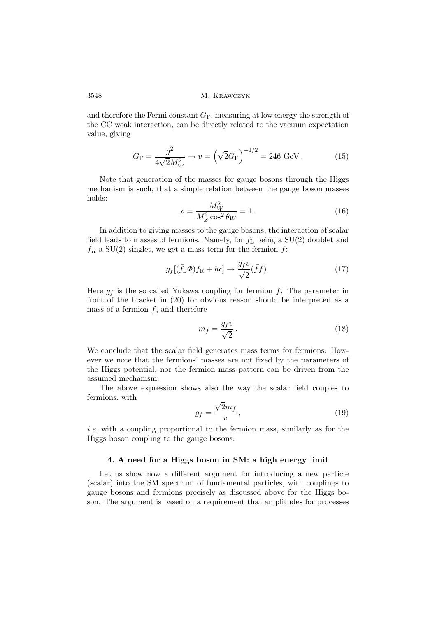and therefore the Fermi constant  $G_F$ , measuring at low energy the strength of the CC weak interaction, can be directly related to the vacuum expectation value, giving

$$
G_{\rm F} = \frac{g^2}{4\sqrt{2}M_W^2} \to v = \left(\sqrt{2}G_{\rm F}\right)^{-1/2} = 246 \text{ GeV}.
$$
 (15)

Note that generation of the masses for gauge bosons through the Higgs mechanism is such, that a simple relation between the gauge boson masses holds:

$$
\rho = \frac{M_W^2}{M_Z^2 \cos^2 \theta_W} = 1.
$$
\n(16)

In addition to giving masses to the gauge bosons, the interaction of scalar field leads to masses of fermions. Namely, for  $f<sub>L</sub>$  being a SU(2) doublet and  $f_R$  a SU(2) singlet, we get a mass term for the fermion  $f$ :

$$
g_f[(\bar{f}_\text{L}\Phi)f_\text{R} + hc] \to \frac{g_f v}{\sqrt{2}}(\bar{f}f). \tag{17}
$$

Here  $g_f$  is the so called Yukawa coupling for fermion f. The parameter in front of the bracket in (20) for obvious reason should be interpreted as a mass of a fermion  $f$ , and therefore

$$
m_f = \frac{g_f v}{\sqrt{2}}.\tag{18}
$$

We conclude that the scalar field generates mass terms for fermions. However we note that the fermions' masses are not fixed by the parameters of the Higgs potential, nor the fermion mass pattern can be driven from the assumed mechanism.

The above expression shows also the way the scalar field couples to fermions, with

$$
g_f = \frac{\sqrt{2}m_f}{v},\tag{19}
$$

i.e. with a coupling proportional to the fermion mass, similarly as for the Higgs boson coupling to the gauge bosons.

#### 4. A need for a Higgs boson in SM: a high energy limit

Let us show now a different argument for introducing a new particle (scalar) into the SM spectrum of fundamental particles, with couplings to gauge bosons and fermions precisely as discussed above for the Higgs boson. The argument is based on a requirement that amplitudes for processes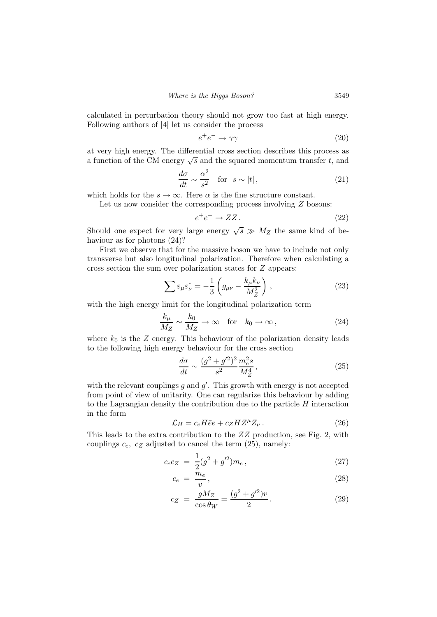calculated in perturbation theory should not grow too fast at high energy. Following authors of [4] let us consider the process

$$
e^+e^- \to \gamma\gamma \tag{20}
$$

at very high energy. The differential cross section describes this process as a function of the CM energy  $\sqrt{s}$  and the squared momentum transfer t, and

$$
\frac{d\sigma}{dt} \sim \frac{\alpha^2}{s^2} \quad \text{for} \quad s \sim |t| \,, \tag{21}
$$

which holds for the  $s \to \infty$ . Here  $\alpha$  is the fine structure constant.

Let us now consider the corresponding process involving  $Z$  bosons:

$$
e^+e^- \to ZZ. \tag{22}
$$

Should one expect for very large energy  $\sqrt{s} \gg M_Z$  the same kind of behaviour as for photons (24)?

First we observe that for the massive boson we have to include not only transverse but also longitudinal polarization. Therefore when calculating a cross section the sum over polarization states for  $Z$  appears:

$$
\sum \varepsilon_{\mu} \varepsilon_{\nu}^{*} = -\frac{1}{3} \left( g_{\mu\nu} - \frac{k_{\mu} k_{\nu}}{M_Z^2} \right) , \qquad (23)
$$

with the high energy limit for the longitudinal polarization term

$$
\frac{k_{\mu}}{M_Z} \sim \frac{k_0}{M_Z} \to \infty \quad \text{for} \quad k_0 \to \infty ,
$$
 (24)

where  $k_0$  is the Z energy. This behaviour of the polarization density leads to the following high energy behaviour for the cross section

$$
\frac{d\sigma}{dt} \sim \frac{(g^2 + g'^2)^2}{s^2} \frac{m_e^2 s}{M_Z^4},\tag{25}
$$

with the relevant couplings  $g$  and  $g'$ . This growth with energy is not accepted from point of view of unitarity. One can regularize this behaviour by adding to the Lagrangian density the contribution due to the particle  $H$  interaction in the form

$$
\mathcal{L}_H = c_e H \bar{e} e + c_Z H Z^{\mu} Z_{\mu} \,. \tag{26}
$$

This leads to the extra contribution to the ZZ production, see Fig. 2, with couplings  $c_e$ ,  $c_z$  adjusted to cancel the term  $(25)$ , namely:

$$
c_e c_Z = \frac{1}{2} (g^2 + g'^2) m_e, \qquad (27)
$$

$$
c_e = \frac{m_e}{v},\tag{28}
$$

$$
c_Z = \frac{gM_Z}{\cos \theta_W} = \frac{(g^2 + g'^2)v}{2}.
$$
 (29)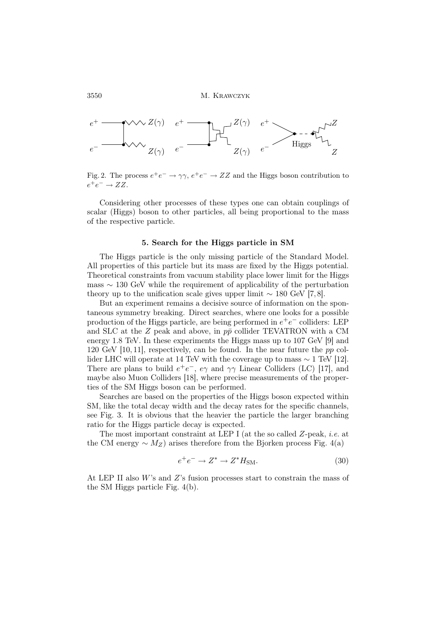

Fig. 2. The process  $e^+e^- \to \gamma \gamma$ ,  $e^+e^- \to ZZ$  and the Higgs boson contribution to  $e^+e^- \rightarrow ZZ.$ 

Considering other processes of these types one can obtain couplings of scalar (Higgs) boson to other particles, all being proportional to the mass of the respective particle.

#### 5. Search for the Higgs particle in SM

The Higgs particle is the only missing particle of the Standard Model. All properties of this particle but its mass are fixed by the Higgs potential. Theoretical constraints from vacuum stability place lower limit for the Higgs mass ∼ 130 GeV while the requirement of applicability of the perturbation theory up to the unification scale gives upper limit  $\sim 180$  GeV [7,8].

But an experiment remains a decisive source of information on the spontaneous symmetry breaking. Direct searches, where one looks for a possible production of the Higgs particle, are being performed in  $e^+e^-$  colliders: LEP and SLC at the Z peak and above, in  $p\bar{p}$  collider TEVATRON with a CM energy 1.8 TeV. In these experiments the Higgs mass up to 107 GeV [9] and 120 GeV [10, 11], respectively, can be found. In the near future the pp collider LHC will operate at 14 TeV with the coverage up to mass  $\sim 1$  TeV [12]. There are plans to build  $e^+e^-$ ,  $e\gamma$  and  $\gamma\gamma$  Linear Colliders (LC) [17], and maybe also Muon Colliders [18], where precise measurements of the properties of the SM Higgs boson can be performed.

Searches are based on the properties of the Higgs boson expected within SM, like the total decay width and the decay rates for the specific channels, see Fig. 3. It is obvious that the heavier the particle the larger branching ratio for the Higgs particle decay is expected.

The most important constraint at LEP I (at the so called Z-peak, i.e. at the CM energy  $\sim M_Z$ ) arises therefore from the Bjorken process Fig. 4(a)

$$
e^+e^- \to Z^* \to Z^*H_{\rm SM}.\tag{30}
$$

At LEP II also  $W$ 's and  $Z$ 's fusion processes start to constrain the mass of the SM Higgs particle Fig. 4(b).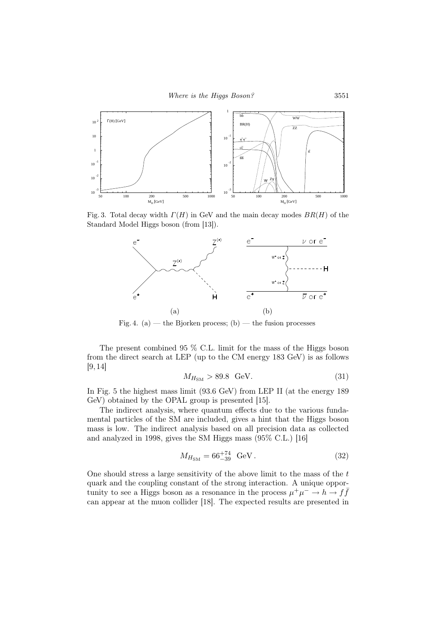

Fig. 3. Total decay width  $\Gamma(H)$  in GeV and the main decay modes  $BR(H)$  of the Standard Model Higgs boson (from [13]).



Fig. 4. (a) — the Bjorken process; (b) — the fusion processes

The present combined 95 % C.L. limit for the mass of the Higgs boson from the direct search at LEP (up to the CM energy 183 GeV) is as follows [9, 14]

$$
M_{H_{\rm SM}} > 89.8 \quad \text{GeV}.\tag{31}
$$

In Fig. 5 the highest mass limit (93.6 GeV) from LEP II (at the energy 189 GeV) obtained by the OPAL group is presented [15].

The indirect analysis, where quantum effects due to the various fundamental particles of the SM are included, gives a hint that the Higgs boson mass is low. The indirect analysis based on all precision data as collected and analyzed in 1998, gives the SM Higgs mass (95% C.L.) [16]

$$
M_{H_{\rm SM}} = 66^{+74}_{-39} \, \text{ GeV} \,. \tag{32}
$$

One should stress a large sensitivity of the above limit to the mass of the  $t$ quark and the coupling constant of the strong interaction. A unique opportunity to see a Higgs boson as a resonance in the process  $\mu^+ \mu^- \to h \to f\bar{f}$ can appear at the muon collider [18]. The expected results are presented in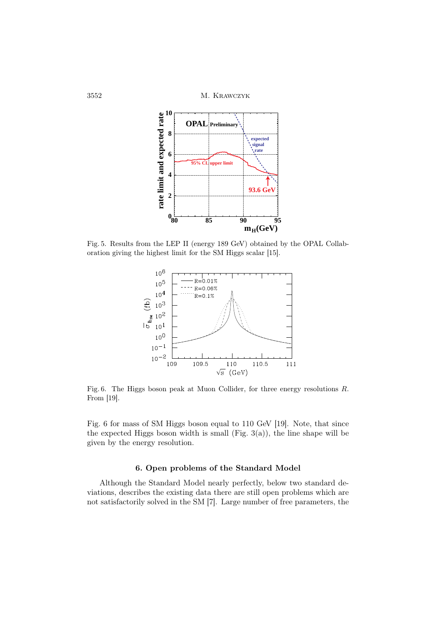

Fig. 5. Results from the LEP II (energy 189 GeV) obtained by the OPAL Collaboration giving the highest limit for the SM Higgs scalar [15].



Fig. 6. The Higgs boson peak at Muon Collider, for three energy resolutions R. From [19].

Fig. 6 for mass of SM Higgs boson equal to 110 GeV [19]. Note, that since the expected Higgs boson width is small (Fig.  $3(a)$ ), the line shape will be given by the energy resolution.

## 6. Open problems of the Standard Model

Although the Standard Model nearly perfectly, below two standard deviations, describes the existing data there are still open problems which are not satisfactorily solved in the SM [7]. Large number of free parameters, the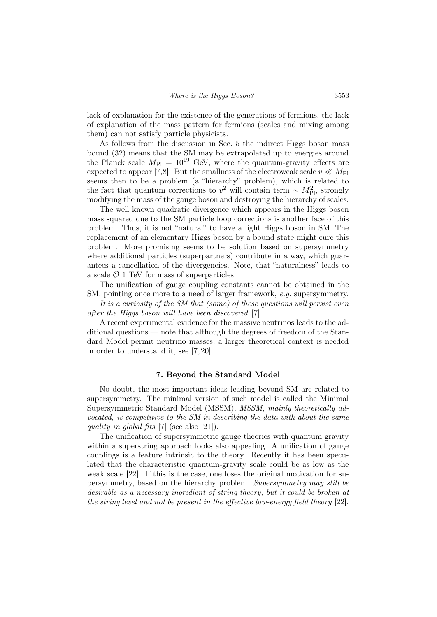lack of explanation for the existence of the generations of fermions, the lack of explanation of the mass pattern for fermions (scales and mixing among them) can not satisfy particle physicists.

As follows from the discussion in Sec. 5 the indirect Higgs boson mass bound (32) means that the SM may be extrapolated up to energies around the Planck scale  $M_{\text{Pl}} = 10^{19}$  GeV, where the quantum-gravity effects are expected to appear [7,8]. But the smallness of the electroweak scale  $v \ll M_{\text{Pl}}$ seems then to be a problem (a "hierarchy" problem), which is related to the fact that quantum corrections to v<sup>2</sup> will contain term ~  $M_{\text{Pl}}^2$ , strongly modifying the mass of the gauge boson and destroying the hierarchy of scales.

The well known quadratic divergence which appears in the Higgs boson mass squared due to the SM particle loop corrections is another face of this problem. Thus, it is not "natural" to have a light Higgs boson in SM. The replacement of an elementary Higgs boson by a bound state might cure this problem. More promising seems to be solution based on supersymmetry where additional particles (superpartners) contribute in a way, which guarantees a cancellation of the divergencies. Note, that "naturalness" leads to a scale  $\mathcal{O}$  1 TeV for mass of superparticles.

The unification of gauge coupling constants cannot be obtained in the SM, pointing once more to a need of larger framework, e.g. supersymmetry.

It is a curiosity of the SM that (some) of these questions will persist even after the Higgs boson will have been discovered [7].

A recent experimental evidence for the massive neutrinos leads to the additional questions — note that although the degrees of freedom of the Standard Model permit neutrino masses, a larger theoretical context is needed in order to understand it, see [7, 20].

## 7. Beyond the Standard Model

No doubt, the most important ideas leading beyond SM are related to supersymmetry. The minimal version of such model is called the Minimal Supersymmetric Standard Model (MSSM). MSSM, mainly theoretically advocated, is competitive to the SM in describing the data with about the same quality in global fits [7] (see also [21]).

The unification of supersymmetric gauge theories with quantum gravity within a superstring approach looks also appealing. A unification of gauge couplings is a feature intrinsic to the theory. Recently it has been speculated that the characteristic quantum-gravity scale could be as low as the weak scale [22]. If this is the case, one loses the original motivation for supersymmetry, based on the hierarchy problem. Supersymmetry may still be desirable as a necessary ingredient of string theory, but it could be broken at the string level and not be present in the effective low-energy field theory [22].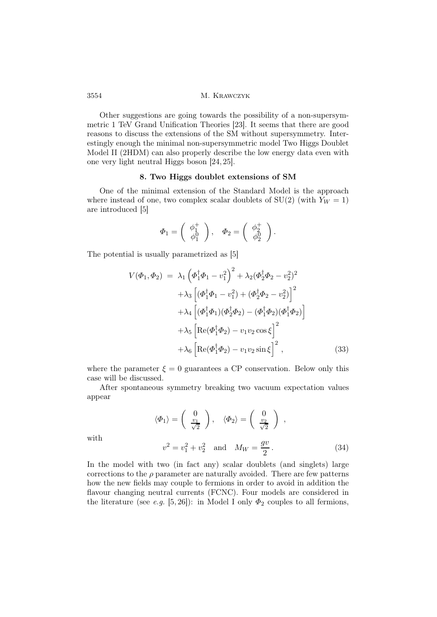Other suggestions are going towards the possibility of a non-supersymmetric 1 TeV Grand Unification Theories [23]. It seems that there are good reasons to discuss the extensions of the SM without supersymmetry. Interestingly enough the minimal non-supersymmetric model Two Higgs Doublet Model II (2HDM) can also properly describe the low energy data even with one very light neutral Higgs boson [24, 25].

## 8. Two Higgs doublet extensions of SM

One of the minimal extension of the Standard Model is the approach where instead of one, two complex scalar doublets of  $SU(2)$  (with  $Y_W = 1$ ) are introduced [5]

$$
\Phi_1 = \begin{pmatrix} \phi_1^+ \\ \phi_1^0 \end{pmatrix}, \quad \Phi_2 = \begin{pmatrix} \phi_2^+ \\ \phi_2^0 \end{pmatrix}.
$$

The potential is usually parametrized as [5]

$$
V(\Phi_1, \Phi_2) = \lambda_1 \left( \Phi_1^{\dagger} \Phi_1 - v_1^2 \right)^2 + \lambda_2 (\Phi_2^{\dagger} \Phi_2 - v_2^2)^2 + \lambda_3 \left[ (\Phi_1^{\dagger} \Phi_1 - v_1^2) + (\Phi_2^{\dagger} \Phi_2 - v_2^2) \right]^2 + \lambda_4 \left[ (\Phi_1^{\dagger} \Phi_1)(\Phi_2^{\dagger} \Phi_2) - (\Phi_1^{\dagger} \Phi_2)(\Phi_1^{\dagger} \Phi_2) \right] + \lambda_5 \left[ \text{Re}(\Phi_1^{\dagger} \Phi_2) - v_1 v_2 \cos \xi \right]^2 + \lambda_6 \left[ \text{Re}(\Phi_1^{\dagger} \Phi_2) - v_1 v_2 \sin \xi \right]^2, \tag{33}
$$

where the parameter  $\xi = 0$  guarantees a CP conservation. Below only this case will be discussed.

After spontaneous symmetry breaking two vacuum expectation values appear

$$
\langle \Phi_1 \rangle = \begin{pmatrix} 0 \\ \frac{v_1}{\sqrt{2}} \end{pmatrix}, \quad \langle \Phi_2 \rangle = \begin{pmatrix} 0 \\ \frac{v_2}{\sqrt{2}} \end{pmatrix} ,
$$
  

$$
v^2 = v_1^2 + v_2^2 \quad \text{and} \quad M_W = \frac{gv}{2} .
$$
 (34)

with

In the model with two (in fact any) scalar doublets (and singlets) large corrections to the  $\rho$  parameter are naturally avoided. There are few patterns how the new fields may couple to fermions in order to avoid in addition the flavour changing neutral currents (FCNC). Four models are considered in the literature (see e.g. [5,26]): in Model I only  $\Phi_2$  couples to all fermions,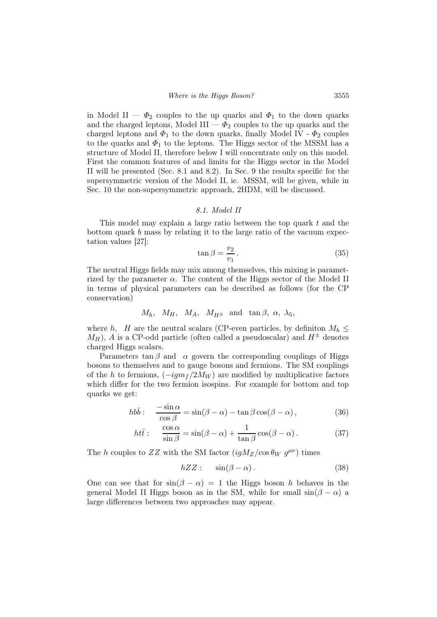in Model II —  $\Phi_2$  couples to the up quarks and  $\Phi_1$  to the down quarks and the charged leptons, Model  $III - \Phi_2$  couples to the up quarks and the charged leptons and  $\Phi_1$  to the down quarks, finally Model IV -  $\Phi_2$  couples to the quarks and  $\Phi_1$  to the leptons. The Higgs sector of the MSSM has a structure of Model II, therefore below I will concentrate only on this model. First the common features of and limits for the Higgs sector in the Model II will be presented (Sec. 8.1 and 8.2). In Sec. 9 the results specific for the supersymmetric version of the Model II, ie. MSSM, will be given, while in Sec. 10 the non-supersymmetric approach, 2HDM, will be discussed.

#### 8.1. Model II

This model may explain a large ratio between the top quark  $t$  and the bottom quark b mass by relating it to the large ratio of the vacuum expectation values [27]:

$$
\tan \beta = \frac{v_2}{v_1} \,. \tag{35}
$$

The neutral Higgs fields may mix among themselves, this mixing is parametrized by the parameter  $\alpha$ . The content of the Higgs sector of the Model II in terms of physical parameters can be described as follows (for the CP conservation)

$$
M_h
$$
,  $M_H$ ,  $M_A$ ,  $M_{H^{\pm}}$  and  $\tan \beta$ ,  $\alpha$ ,  $\lambda_5$ ,

where h, H are the neutral scalars (CP-even particles, by definition  $M_h \leq$  $M_H$ ), A is a CP-odd particle (often called a pseudoscalar) and  $H^{\pm}$  denotes charged Higgs scalars.

Parameters  $\tan \beta$  and  $\alpha$  govern the corresponding couplings of Higgs bosons to themselves and to gauge bosons and fermions. The SM couplings of the h to fermions,  $(-igm_f/2M_W)$  are modified by multiplicative factors which differ for the two fermion isospins. For example for bottom and top quarks we get:

$$
hb\bar{b}: \quad \frac{-\sin\alpha}{\cos\beta} = \sin(\beta - \alpha) - \tan\beta\cos(\beta - \alpha),\tag{36}
$$

$$
ht\bar{t}: \quad \frac{\cos\alpha}{\sin\beta} = \sin(\beta - \alpha) + \frac{1}{\tan\beta}\cos(\beta - \alpha). \tag{37}
$$

The h couples to ZZ with the SM factor  $(igM_Z/\cos\theta_W g^{\mu\nu})$  times

$$
hZZ: \quad \sin(\beta - \alpha). \tag{38}
$$

One can see that for  $sin(\beta - \alpha) = 1$  the Higgs boson h behaves in the general Model II Higgs boson as in the SM, while for small  $sin(\beta - \alpha)$  a large differences between two approaches may appear.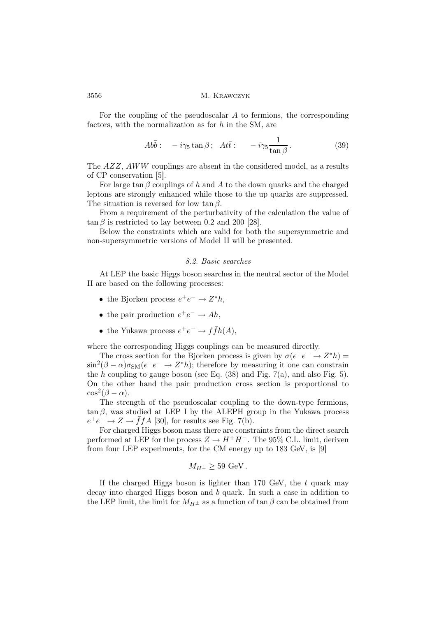For the coupling of the pseudoscalar A to fermions, the corresponding factors, with the normalization as for  $h$  in the SM, are

$$
Ab\bar{b}: \quad -i\gamma_5 \tan \beta \, ; \quad At\bar{t}: \quad -i\gamma_5 \frac{1}{\tan \beta} \,. \tag{39}
$$

The AZZ, AWW couplings are absent in the considered model, as a results of CP conservation [5].

For large tan  $\beta$  couplings of h and A to the down quarks and the charged leptons are strongly enhanced while those to the up quarks are suppressed. The situation is reversed for low tan  $\beta$ .

From a requirement of the perturbativity of the calculation the value of  $\tan \beta$  is restricted to lay between 0.2 and 200 [28].

Below the constraints which are valid for both the supersymmetric and non-supersymmetric versions of Model II will be presented.

## 8.2. Basic searches

At LEP the basic Higgs boson searches in the neutral sector of the Model II are based on the following processes:

- the Bjorken process  $e^+e^- \to Z^*h$ ,
- the pair production  $e^+e^- \to Ah$ ,
- the Yukawa process  $e^+e^- \to f\bar{f}h(A)$ ,

where the corresponding Higgs couplings can be measured directly.

The cross section for the Bjorken process is given by  $\sigma(e^+e^- \to Z^*h) =$  $\sin^2(\beta-\alpha)\sigma_{\rm SM}(e^+e^-\rightarrow Z^*h)$ ; therefore by measuring it one can constrain the h coupling to gauge boson (see Eq.  $(38)$  and Fig. 7(a), and also Fig. 5). On the other hand the pair production cross section is proportional to  $\cos^2(\beta - \alpha)$ .

The strength of the pseudoscalar coupling to the down-type fermions,  $tan \beta$ , was studied at LEP I by the ALEPH group in the Yukawa process  $e^+e^- \to Z \to \bar{f}fA$  [30], for results see Fig. 7(b).

For charged Higgs boson mass there are constraints from the direct search performed at LEP for the process  $Z \to H^+H^-$ . The 95% C.L. limit, deriven from four LEP experiments, for the CM energy up to 183 GeV, is [9]

$$
M_{H^{\pm}} \geq 59 \text{ GeV}.
$$

If the charged Higgs boson is lighter than 170 GeV, the  $t$  quark may decay into charged Higgs boson and b quark. In such a case in addition to the LEP limit, the limit for  $M_{H^{\pm}}$  as a function of tan  $\beta$  can be obtained from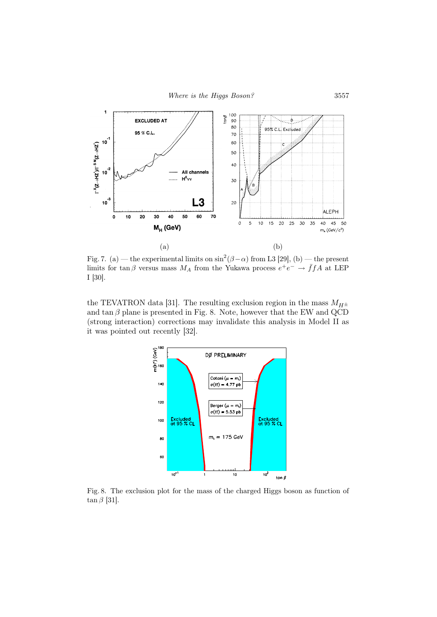

Fig. 7. (a) — the experimental limits on  $\sin^2(\beta-\alpha)$  from L3 [29], (b) — the present limits for  $\tan \beta$  versus mass  $M_A$  from the Yukawa process  $e^+e^- \rightarrow \bar{f}fA$  at LEP I [30].

the TEVATRON data [31]. The resulting exclusion region in the mass  $M_{H^{\pm}}$ and  $\tan \beta$  plane is presented in Fig. 8. Note, however that the EW and QCD (strong interaction) corrections may invalidate this analysis in Model II as it was pointed out recently [32].



Fig. 8. The exclusion plot for the mass of the charged Higgs boson as function of  $\tan \beta$  [31].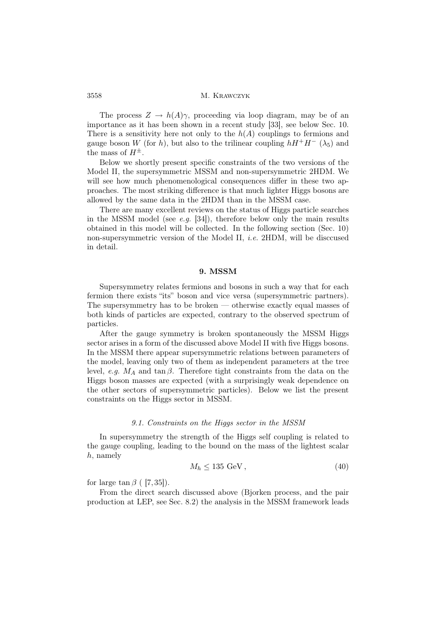The process  $Z \to h(A)\gamma$ , proceeding via loop diagram, may be of an importance as it has been shown in a recent study [33], see below Sec. 10. There is a sensitivity here not only to the  $h(A)$  couplings to fermions and gauge boson W (for h), but also to the trilinear coupling  $hH^+H^-$  ( $\lambda_5$ ) and the mass of  $H^{\pm}$ .

Below we shortly present specific constraints of the two versions of the Model II, the supersymmetric MSSM and non-supersymmetric 2HDM. We will see how much phenomenological consequences differ in these two approaches. The most striking difference is that much lighter Higgs bosons are allowed by the same data in the 2HDM than in the MSSM case.

There are many excellent reviews on the status of Higgs particle searches in the MSSM model (see  $e.g.$  [34]), therefore below only the main results obtained in this model will be collected. In the following section (Sec. 10) non-supersymmetric version of the Model II, i.e. 2HDM, will be disccused in detail.

## 9. MSSM

Supersymmetry relates fermions and bosons in such a way that for each fermion there exists "its" boson and vice versa (supersymmetric partners). The supersymmetry has to be broken — otherwise exactly equal masses of both kinds of particles are expected, contrary to the observed spectrum of particles.

After the gauge symmetry is broken spontaneously the MSSM Higgs sector arises in a form of the discussed above Model II with five Higgs bosons. In the MSSM there appear supersymmetric relations between parameters of the model, leaving only two of them as independent parameters at the tree level, e.g.  $M_A$  and tan  $\beta$ . Therefore tight constraints from the data on the Higgs boson masses are expected (with a surprisingly weak dependence on the other sectors of supersymmetric particles). Below we list the present constraints on the Higgs sector in MSSM.

#### 9.1. Constraints on the Higgs sector in the MSSM

In supersymmetry the strength of the Higgs self coupling is related to the gauge coupling, leading to the bound on the mass of the lightest scalar h, namely

$$
M_h \le 135 \text{ GeV},\tag{40}
$$

for large  $\tan \beta$  ( [7, 35]).

From the direct search discussed above (Bjorken process, and the pair production at LEP, see Sec. 8.2) the analysis in the MSSM framework leads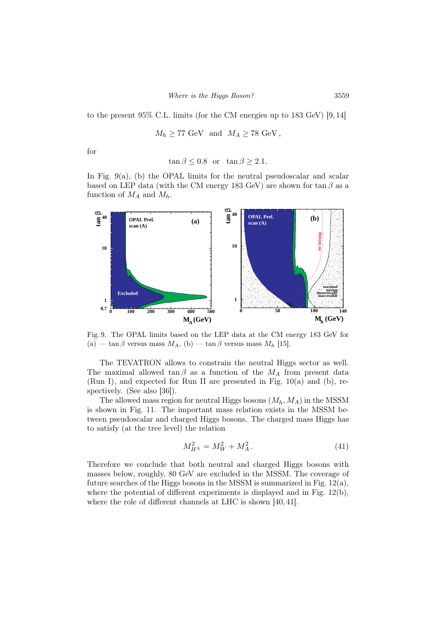to the present 95% C.L. limits (for the CM energies up to 183 GeV) [9, 14]

$$
M_h \geq 77 \text{ GeV} \text{ and } M_A \geq 78 \text{ GeV},
$$

for

$$
\tan \beta \le 0.8 \quad \text{or} \quad \tan \beta \ge 2.1.
$$

In Fig. 9(a), (b) the OPAL limits for the neutral pseudoscalar and scalar based on LEP data (with the CM energy 183 GeV) are shown for tan  $\beta$  as a function of  $M_A$  and  $M_h$ .



Fig. 9. The OPAL limits based on the LEP data at the CM energy 183 GeV for (a) — tan $\beta$  versus mass  $M_A$ , (b) — tan $\beta$  versus mass  $M_h$  [15].

The TEVATRON allows to constrain the neutral Higgs sector as well. The maximal allowed tan  $\beta$  as a function of the  $M_A$  from present data (Run I), and expected for Run II are presented in Fig. 10(a) and (b), respectively. (See also [36]).

The allowed mass region for neutral Higgs bosons  $(M_h, M_A)$  in the MSSM is shown in Fig. 11. The important mass relation exists in the MSSM between pseudoscalar and charged Higgs bosons. The charged mass Higgs has to satisfy (at the tree level) the relation

$$
M_{H^{\pm}}^2 = M_W^2 + M_A^2. \tag{41}
$$

Therefore we conclude that both neutral and charged Higgs bosons with masses below, roughly, 80 GeV are excluded in the MSSM. The coverage of future searches of the Higgs bosons in the MSSM is summarized in Fig.  $12(a)$ , where the potential of different experiments is displayed and in Fig. 12(b), where the role of different channels at LHC is shown [40, 41].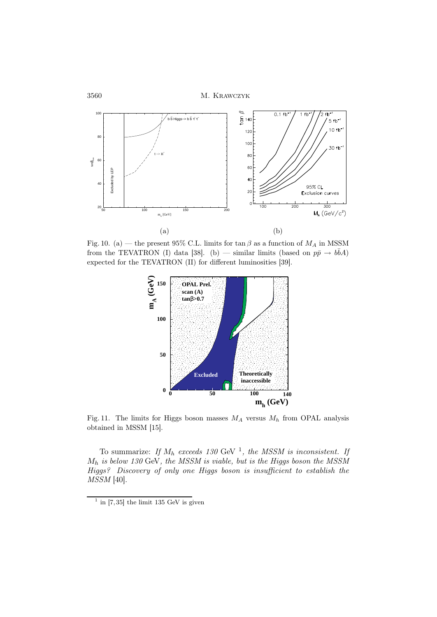

Fig. 10. (a) — the present 95% C.L. limits for  $\tan \beta$  as a function of  $M_A$  in MSSM from the TEVATRON (I) data [38]. (b) — similar limits (based on  $p\bar{p} \to b\bar{b}A$ ) expected for the TEVATRON (II) for different luminosities [39].



Fig. 11. The limits for Higgs boson masses  $M_A$  versus  $M_h$  from OPAL analysis obtained in MSSM [15].

To summarize: If  $M_h$  exceeds 130 GeV <sup>1</sup>, the MSSM is inconsistent. If  $M_h$  is below 130 GeV, the MSSM is viable, but is the Higgs boson the MSSM Higgs? Discovery of only one Higgs boson is insufficient to establish the MSSM [40].

 $\frac{1}{1}$  in [7,35] the limit 135 GeV is given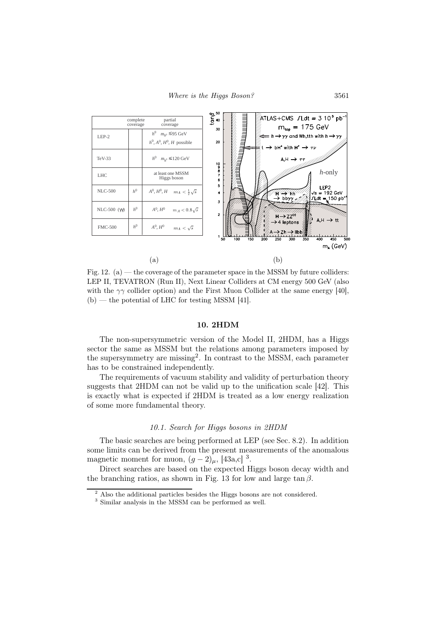

Fig. 12. (a) — the coverage of the parameter space in the MSSM by future colliders: LEP II, TEVATRON (Run II), Next Linear Colliders at CM energy 500 GeV (also with the  $\gamma\gamma$  collider option) and the First Muon Collider at the same energy [40],  $(b)$  — the potential of LHC for testing MSSM [41].

#### 10. 2HDM

The non-supersymmetric version of the Model II, 2HDM, has a Higgs sector the same as MSSM but the relations among parameters imposed by the supersymmetry are missing<sup>2</sup> . In contrast to the MSSM, each parameter has to be constrained independently.

The requirements of vacuum stability and validity of perturbation theory suggests that 2HDM can not be valid up to the unification scale [42]. This is exactly what is expected if 2HDM is treated as a low energy realization of some more fundamental theory.

## 10.1. Search for Higgs bosons in 2HDM

The basic searches are being performed at LEP (see Sec. 8.2). In addition some limits can be derived from the present measurements of the anomalous magnetic moment for muon,  $(g-2)_{\mu}$ , [43a,c]<sup>3</sup>.

Direct searches are based on the expected Higgs boson decay width and the branching ratios, as shown in Fig. 13 for low and large tan  $\beta$ .

<sup>2</sup> Also the additional particles besides the Higgs bosons are not considered.

<sup>3</sup> Similar analysis in the MSSM can be performed as well.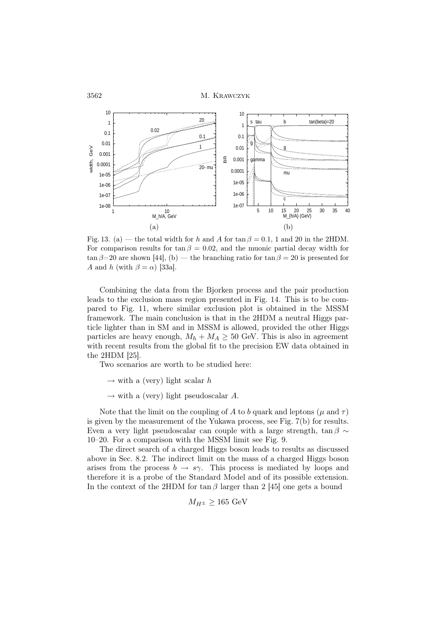

Fig. 13. (a) — the total width for h and A for  $\tan \beta = 0.1$ , 1 and 20 in the 2HDM. For comparison results for tan  $\beta = 0.02$ , and the muonic partial decay width for  $\tan \beta = 20$  are shown [44], (b) — the branching ratio for  $\tan \beta = 20$  is presented for A and h (with  $\beta = \alpha$ ) [33a].

Combining the data from the Bjorken process and the pair production leads to the exclusion mass region presented in Fig. 14. This is to be compared to Fig. 11, where similar exclusion plot is obtained in the MSSM framework. The main conclusion is that in the 2HDM a neutral Higgs particle lighter than in SM and in MSSM is allowed, provided the other Higgs particles are heavy enough,  $M_h + M_A \geq 50$  GeV. This is also in agreement with recent results from the global fit to the precision EW data obtained in the 2HDM [25].

Two scenarios are worth to be studied here:

 $\rightarrow$  with a (very) light scalar h

 $\rightarrow$  with a (very) light pseudoscalar A.

Note that the limit on the coupling of A to b quark and leptons ( $\mu$  and  $\tau$ ) is given by the measurement of the Yukawa process, see Fig. 7(b) for results. Even a very light pseudoscalar can couple with a large strength, tan  $\beta \sim$ 10–20. For a comparison with the MSSM limit see Fig. 9.

The direct search of a charged Higgs boson leads to results as discussed above in Sec. 8.2. The indirect limit on the mass of a charged Higgs boson arises from the process  $b \to s\gamma$ . This process is mediated by loops and therefore it is a probe of the Standard Model and of its possible extension. In the context of the 2HDM for tan  $\beta$  larger than 2 [45] one gets a bound

$$
M_{H^{\pm}} \ge 165 \text{ GeV}
$$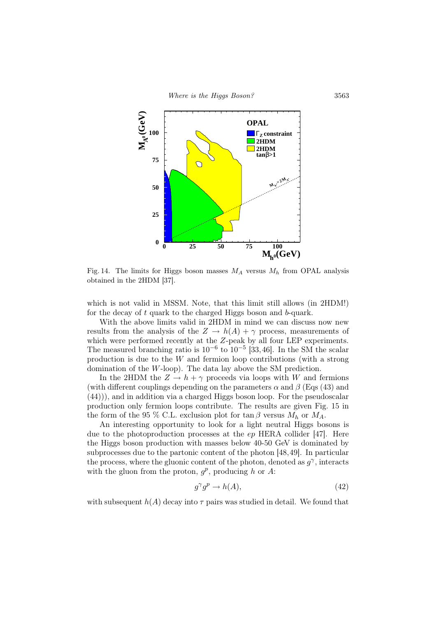

Fig. 14. The limits for Higgs boson masses  $M_A$  versus  $M_h$  from OPAL analysis obtained in the 2HDM [37].

which is not valid in MSSM. Note, that this limit still allows (in 2HDM!) for the decay of t quark to the charged Higgs boson and b-quark.

With the above limits valid in 2HDM in mind we can discuss now new results from the analysis of the  $Z \to h(A) + \gamma$  process, measurements of which were performed recently at the Z-peak by all four LEP experiments. The measured branching ratio is  $10^{-6}$  to  $10^{-5}$  [33,46]. In the SM the scalar production is due to the W and fermion loop contributions (with a strong domination of the W-loop). The data lay above the SM prediction.

In the 2HDM the  $Z \to h + \gamma$  proceeds via loops with W and fermions (with different couplings depending on the parameters  $\alpha$  and  $\beta$  (Eqs (43) and (44))), and in addition via a charged Higgs boson loop. For the pseudoscalar production only fermion loops contribute. The results are given Fig. 15 in the form of the 95 % C.L. exclusion plot for  $\tan \beta$  versus  $M_h$  or  $M_A$ .

An interesting opportunity to look for a light neutral Higgs bosons is due to the photoproduction processes at the ep HERA collider [47]. Here the Higgs boson production with masses below 40-50 GeV is dominated by subprocesses due to the partonic content of the photon [48,49]. In particular the process, where the gluonic content of the photon, denoted as  $g^{\gamma}$ , interacts with the gluon from the proton,  $g^p$ , producing h or A:

$$
g^{\gamma}g^p \to h(A), \tag{42}
$$

with subsequent  $h(A)$  decay into  $\tau$  pairs was studied in detail. We found that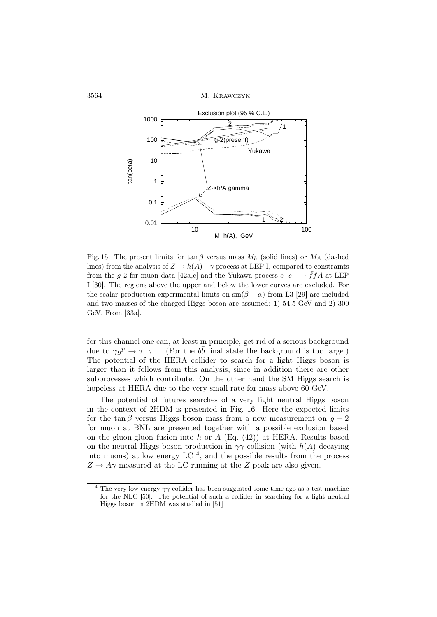

Fig. 15. The present limits for tan  $\beta$  versus mass  $M_h$  (solid lines) or  $M_A$  (dashed lines) from the analysis of  $Z \to h(A) + \gamma$  process at LEP I, compared to constraints from the g-2 for muon data [42a,c] and the Yukawa process  $e^+e^- \rightarrow \bar{f}fA$  at LEP I [30]. The regions above the upper and below the lower curves are excluded. For the scalar production experimental limits on  $sin(\beta - \alpha)$  from L3 [29] are included and two masses of the charged Higgs boson are assumed: 1) 54.5 GeV and 2) 300 GeV. From [33a].

for this channel one can, at least in principle, get rid of a serious background due to  $\gamma g^p \to \tau^+ \tau^-$ . (For the  $b\bar{b}$  final state the background is too large.) The potential of the HERA collider to search for a light Higgs boson is larger than it follows from this analysis, since in addition there are other subprocesses which contribute. On the other hand the SM Higgs search is hopeless at HERA due to the very small rate for mass above 60 GeV.

The potential of futures searches of a very light neutral Higgs boson in the context of 2HDM is presented in Fig. 16. Here the expected limits for the tan β versus Higgs boson mass from a new measurement on  $q-2$ for muon at BNL are presented together with a possible exclusion based on the gluon-gluon fusion into h or  $A$  (Eq. (42)) at HERA. Results based on the neutral Higgs boson production in  $\gamma\gamma$  collision (with  $h(A)$  decaying into muons) at low energy LC<sup>4</sup>, and the possible results from the process  $Z \rightarrow A\gamma$  measured at the LC running at the Z-peak are also given.

 $^4$  The very low energy  $\gamma\gamma$  collider has been suggested some time ago as a test machine for the NLC [50]. The potential of such a collider in searching for a light neutral Higgs boson in 2HDM was studied in [51]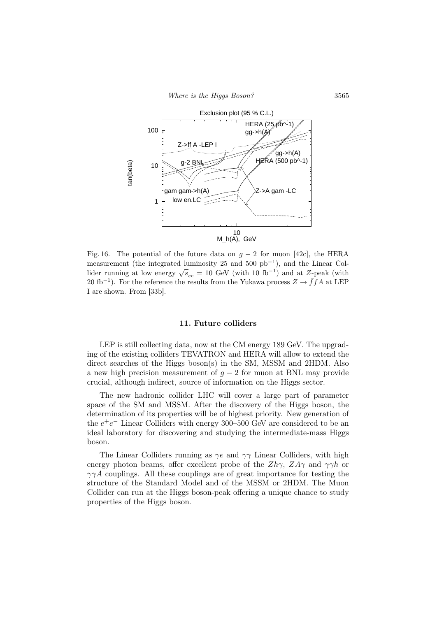Where is the Higgs Boson? 3565



Fig. 16. The potential of the future data on  $g - 2$  for muon [42c], the HERA measurement (the integrated luminosity 25 and 500 pb<sup>−</sup><sup>1</sup> ), and the Linear Collider running at low energy  $\sqrt{s_{ee}} = 10$  GeV (with 10 fb<sup>-1</sup>) and at Z-peak (with 20 fb<sup>-1</sup>). For the reference the results from the Yukawa process  $Z \rightarrow \bar{f}fA$  at LEP I are shown. From [33b].

## 11. Future colliders

LEP is still collecting data, now at the CM energy 189 GeV. The upgrading of the existing colliders TEVATRON and HERA will allow to extend the direct searches of the Higgs boson(s) in the SM, MSSM and 2HDM. Also a new high precision measurement of  $g - 2$  for muon at BNL may provide crucial, although indirect, source of information on the Higgs sector.

The new hadronic collider LHC will cover a large part of parameter space of the SM and MSSM. After the discovery of the Higgs boson, the determination of its properties will be of highest priority. New generation of the  $e^+e^-$  Linear Colliders with energy 300–500 GeV are considered to be an ideal laboratory for discovering and studying the intermediate-mass Higgs boson.

The Linear Colliders running as  $\gamma e$  and  $\gamma \gamma$  Linear Colliders, with high energy photon beams, offer excellent probe of the  $Zh\gamma$ ,  $ZA\gamma$  and  $\gamma\gamma h$  or  $\gamma \gamma A$  couplings. All these couplings are of great importance for testing the structure of the Standard Model and of the MSSM or 2HDM. The Muon Collider can run at the Higgs boson-peak offering a unique chance to study properties of the Higgs boson.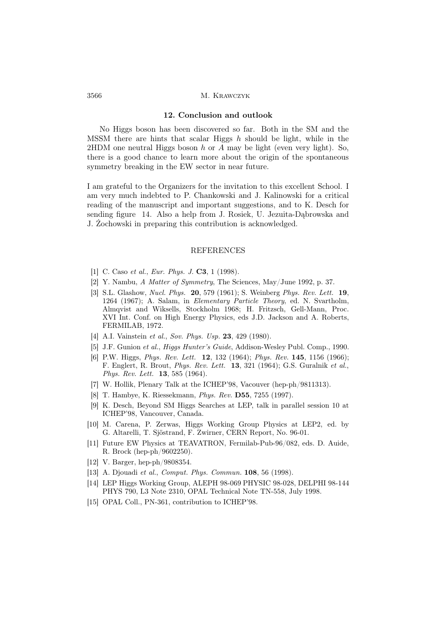#### 12. Conclusion and outlook

No Higgs boson has been discovered so far. Both in the SM and the MSSM there are hints that scalar Higgs  $h$  should be light, while in the 2HDM one neutral Higgs boson  $h$  or  $A$  may be light (even very light). So, there is a good chance to learn more about the origin of the spontaneous symmetry breaking in the EW sector in near future.

I am grateful to the Organizers for the invitation to this excellent School. I am very much indebted to P. Chankowski and J. Kalinowski for a critical reading of the manuscript and important suggestions, and to K. Desch for sending figure 14. Also a help from J. Rosiek, U. Jezuita-Dąbrowska and J. Żochowski in preparing this contribution is acknowledged.

#### REFERENCES

- [1] C. Caso *et al., Eur. Phys. J.* **C3**, 1 (1998).
- [2] Y. Nambu, A Matter of Symmetry, The Sciences, May/June 1992, p. 37.
- [3] S.L. Glashow, Nucl. Phys. 20, 579 (1961); S. Weinberg Phys. Rev. Lett. 19, 1264 (1967); A. Salam, in Elementary Particle Theory, ed. N. Svartholm, Almqvist and Wiksells, Stockholm 1968; H. Fritzsch, Gell-Mann, Proc. XVI Int. Conf. on High Energy Physics, eds J.D. Jackson and A. Roberts, FERMILAB, 1972.
- [4] A.I. Vainstein et al., Sov. Phys. Usp. 23, 429 (1980).
- [5] J.F. Gunion et al., Higgs Hunter's Guide, Addison-Wesley Publ. Comp., 1990.
- [6] P.W. Higgs, *Phys. Rev. Lett.* **12**, 132 (1964); *Phys. Rev.* **145**, 1156 (1966); F. Englert, R. Brout, Phys. Rev. Lett. 13, 321 (1964); G.S. Guralnik et al., Phys. Rev. Lett. **13**, 585 (1964).
- [7] W. Hollik, Plenary Talk at the ICHEP'98, Vacouver (hep-ph/9811313).
- [8] T. Hambye, K. Riessekmann, Phys. Rev. D55, 7255 (1997).
- [9] K. Desch, Beyond SM Higgs Searches at LEP, talk in parallel session 10 at ICHEP'98, Vancouver, Canada.
- [10] M. Carena, P. Zerwas, Higgs Working Group Physics at LEP2, ed. by G. Altarelli, T. Sjöstrand, F. Zwirner, CERN Report, No. 96-01.
- [11] Future EW Physics at TEAVATRON, Fermilab-Pub-96/082, eds. D. Auide, R. Brock (hep-ph/9602250).
- [12] V. Barger, hep-ph/9808354.
- [13] A. Djouadi et al., Comput. Phys. Commun. **108**, 56 (1998).
- [14] LEP Higgs Working Group, ALEPH 98-069 PHYSIC 98-028, DELPHI 98-144 PHYS 790, L3 Note 2310, OPAL Technical Note TN-558, July 1998.
- [15] OPAL Coll., PN-361, contribution to ICHEP'98.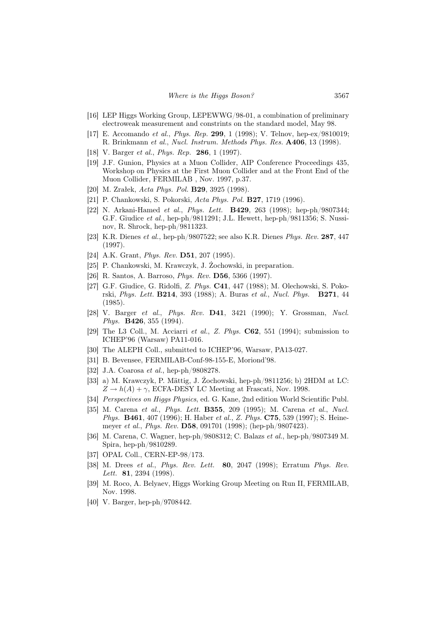- [16] LEP Higgs Working Group, LEPEWWG/98-01, a combination of preliminary electroweak measurement and constrints on the standard model, May 98.
- [17] E. Accomando et al., Phys. Rep. 299, 1 (1998); V. Telnov, hep-ex/9810019; R. Brinkmann et al., Nucl. Instrum. Methods Phys. Res. A406, 13 (1998).
- [18] V. Barger et al., Phys. Rep. 286, 1 (1997).
- [19] J.F. Gunion, Physics at a Muon Collider, AIP Conference Proceedings 435, Workshop on Physics at the First Muon Collider and at the Front End of the Muon Collider, FERMILAB , Nov. 1997, p.37.
- [20] M. Zrałek, Acta Phys. Pol. B29, 3925 (1998).
- [21] P. Chankowski, S. Pokorski, Acta Phys. Pol. B27, 1719 (1996).
- [22] N. Arkani-Hamed et al., Phys. Lett. **B429**, 263 (1998); hep-ph/9807344; G.F. Giudice et al., hep-ph/9811291; J.L. Hewett, hep-ph/9811356; S. Nussinov, R. Shrock, hep-ph/9811323.
- [23] K.R. Dienes et al., hep-ph/9807522; see also K.R. Dienes Phys. Rev. 287, 447 (1997).
- [24] A.K. Grant, *Phys. Rev.* **D51**, 207 (1995).
- [25] P. Chankowski, M. Krawczyk, J. Żochowski, in preparation.
- [26] R. Santos, A. Barroso, Phys. Rev. D56, 5366 (1997).
- [27] G.F. Giudice, G. Ridolfi, Z. Phys. C41, 447 (1988); M. Olechowski, S. Pokorski, Phys. Lett. B214, 393 (1988); A. Buras et al., Nucl. Phys. B271, 44 (1985).
- [28] V. Barger et al., Phys. Rev. **D41**, 3421 (1990); Y. Grossman, Nucl. Phys. **B426**, 355 (1994).
- [29] The L3 Coll., M. Acciarri et al., Z. Phys. C62, 551 (1994); submission to ICHEP'96 (Warsaw) PA11-016.
- [30] The ALEPH Coll., submitted to ICHEP'96, Warsaw, PA13-027.
- [31] B. Bevensee, FERMILAB-Conf-98-155-E, Moriond'98.
- [32] J.A. Coarosa et al., hep-ph/9808278.
- [33] a) M. Krawczyk, P. Mättig, J. Żochowski, hep-ph/9811256; b) 2HDM at LC:  $Z \rightarrow h(A) + \gamma$ , ECFA-DESY LC Meeting at Frascati, Nov. 1998.
- [34] Perspectives on Higgs Physics, ed. G. Kane, 2nd edition World Scientific Publ.
- [35] M. Carena et al., Phys. Lett. B355, 209 (1995); M. Carena et al., Nucl. Phys. B461, 407 (1996); H. Haber et al., Z. Phys. C75, 539 (1997); S. Heinemeyer et al., Phys. Rev. D58, 091701 (1998); (hep-ph/9807423).
- [36] M. Carena, C. Wagner, hep-ph/9808312; C. Balazs et al., hep-ph/9807349 M. Spira, hep-ph/9810289.
- [37] OPAL Coll., CERN-EP-98/173.
- [38] M. Drees et al., Phys. Rev. Lett. 80, 2047 (1998); Erratum Phys. Rev. *Lett.* **81**, 2394 (1998).
- [39] M. Roco, A. Belyaev, Higgs Working Group Meeting on Run II, FERMILAB, Nov. 1998.
- [40] V. Barger, hep-ph/9708442.